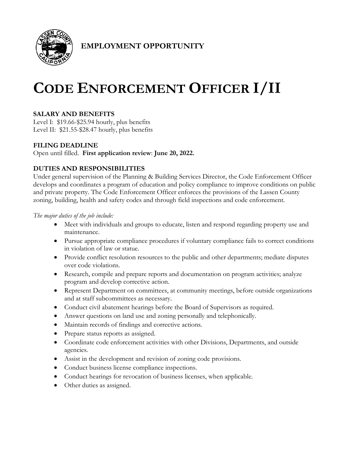

**EMPLOYMENT OPPORTUNITY**

# **CODE ENFORCEMENT OFFICER I/II**

## **SALARY AND BENEFITS**

Level I: \$19.66-\$25.94 hourly, plus benefits Level II: \$21.55-\$28.47 hourly, plus benefits

## **FILING DEADLINE**

Open until filled. **First application review**: **June 20, 2022.**

## **DUTIES AND RESPONSIBILITIES**

Under general supervision of the Planning & Building Services Director, the Code Enforcement Officer develops and coordinates a program of education and policy compliance to improve conditions on public and private property. The Code Enforcement Officer enforces the provisions of the Lassen County zoning, building, health and safety codes and through field inspections and code enforcement.

*The major duties of the job include:*

- Meet with individuals and groups to educate, listen and respond regarding property use and maintenance.
- Pursue appropriate compliance procedures if voluntary compliance fails to correct conditions in violation of law or statue.
- Provide conflict resolution resources to the public and other departments; mediate disputes over code violations.
- Research, compile and prepare reports and documentation on program activities; analyze program and develop corrective action.
- Represent Department on committees, at community meetings, before outside organizations and at staff subcommittees as necessary.
- Conduct civil abatement hearings before the Board of Supervisors as required.
- Answer questions on land use and zoning personally and telephonically.
- Maintain records of findings and corrective actions.
- Prepare status reports as assigned.
- Coordinate code enforcement activities with other Divisions, Departments, and outside agencies.
- Assist in the development and revision of zoning code provisions.
- Conduct business license compliance inspections.
- Conduct hearings for revocation of business licenses, when applicable.
- Other duties as assigned.